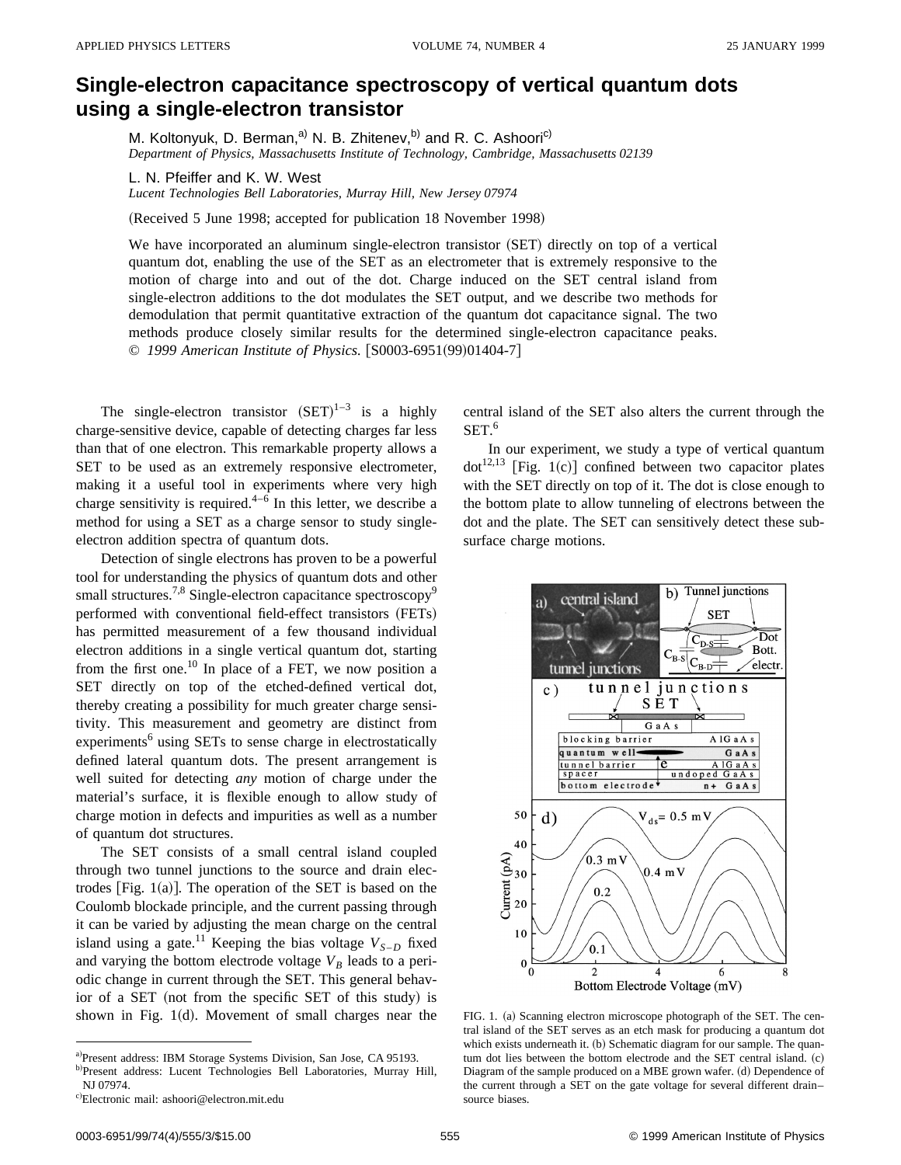## **Single-electron capacitance spectroscopy of vertical quantum dots using a single-electron transistor**

M. Koltonyuk, D. Berman,<sup>a)</sup> N. B. Zhitenev,<sup>b)</sup> and R. C. Ashoori<sup>c)</sup> *Department of Physics, Massachusetts Institute of Technology, Cambridge, Massachusetts 02139*

L. N. Pfeiffer and K. W. West

*Lucent Technologies Bell Laboratories, Murray Hill, New Jersey 07974*

(Received 5 June 1998; accepted for publication 18 November 1998)

We have incorporated an aluminum single-electron transistor (SET) directly on top of a vertical quantum dot, enabling the use of the SET as an electrometer that is extremely responsive to the motion of charge into and out of the dot. Charge induced on the SET central island from single-electron additions to the dot modulates the SET output, and we describe two methods for demodulation that permit quantitative extraction of the quantum dot capacitance signal. The two methods produce closely similar results for the determined single-electron capacitance peaks. © 1999 American Institute of Physics. [S0003-6951(99)01404-7]

The single-electron transistor  $(SET)^{1-3}$  is a highly charge-sensitive device, capable of detecting charges far less than that of one electron. This remarkable property allows a SET to be used as an extremely responsive electrometer, making it a useful tool in experiments where very high charge sensitivity is required.<sup>4–6</sup> In this letter, we describe a method for using a SET as a charge sensor to study singleelectron addition spectra of quantum dots.

Detection of single electrons has proven to be a powerful tool for understanding the physics of quantum dots and other small structures.<sup>7,8</sup> Single-electron capacitance spectroscopy<sup>9</sup> performed with conventional field-effect transistors (FETs) has permitted measurement of a few thousand individual electron additions in a single vertical quantum dot, starting from the first one.<sup>10</sup> In place of a FET, we now position a SET directly on top of the etched-defined vertical dot, thereby creating a possibility for much greater charge sensitivity. This measurement and geometry are distinct from experiments<sup>6</sup> using SETs to sense charge in electrostatically defined lateral quantum dots. The present arrangement is well suited for detecting *any* motion of charge under the material's surface, it is flexible enough to allow study of charge motion in defects and impurities as well as a number of quantum dot structures.

The SET consists of a small central island coupled through two tunnel junctions to the source and drain electrodes [Fig.  $1(a)$ ]. The operation of the SET is based on the Coulomb blockade principle, and the current passing through it can be varied by adjusting the mean charge on the central island using a gate.<sup>11</sup> Keeping the bias voltage  $V_{S-D}$  fixed and varying the bottom electrode voltage  $V_B$  leads to a periodic change in current through the SET. This general behavior of a SET (not from the specific SET of this study) is shown in Fig.  $1(d)$ . Movement of small charges near the central island of the SET also alters the current through the  $SET.<sup>6</sup>$ 

In our experiment, we study a type of vertical quantum  $dot^{12,13}$  [Fig. 1(c)] confined between two capacitor plates with the SET directly on top of it. The dot is close enough to the bottom plate to allow tunneling of electrons between the dot and the plate. The SET can sensitively detect these subsurface charge motions.



FIG. 1. (a) Scanning electron microscope photograph of the SET. The central island of the SET serves as an etch mask for producing a quantum dot which exists underneath it. (b) Schematic diagram for our sample. The quantum dot lies between the bottom electrode and the SET central island.  $(c)$ Diagram of the sample produced on a MBE grown wafer. (d) Dependence of the current through a SET on the gate voltage for several different drain– source biases.

a)Present address: IBM Storage Systems Division, San Jose, CA 95193.

b)Present address: Lucent Technologies Bell Laboratories, Murray Hill, NJ 07974.

c)Electronic mail: ashoori@electron.mit.edu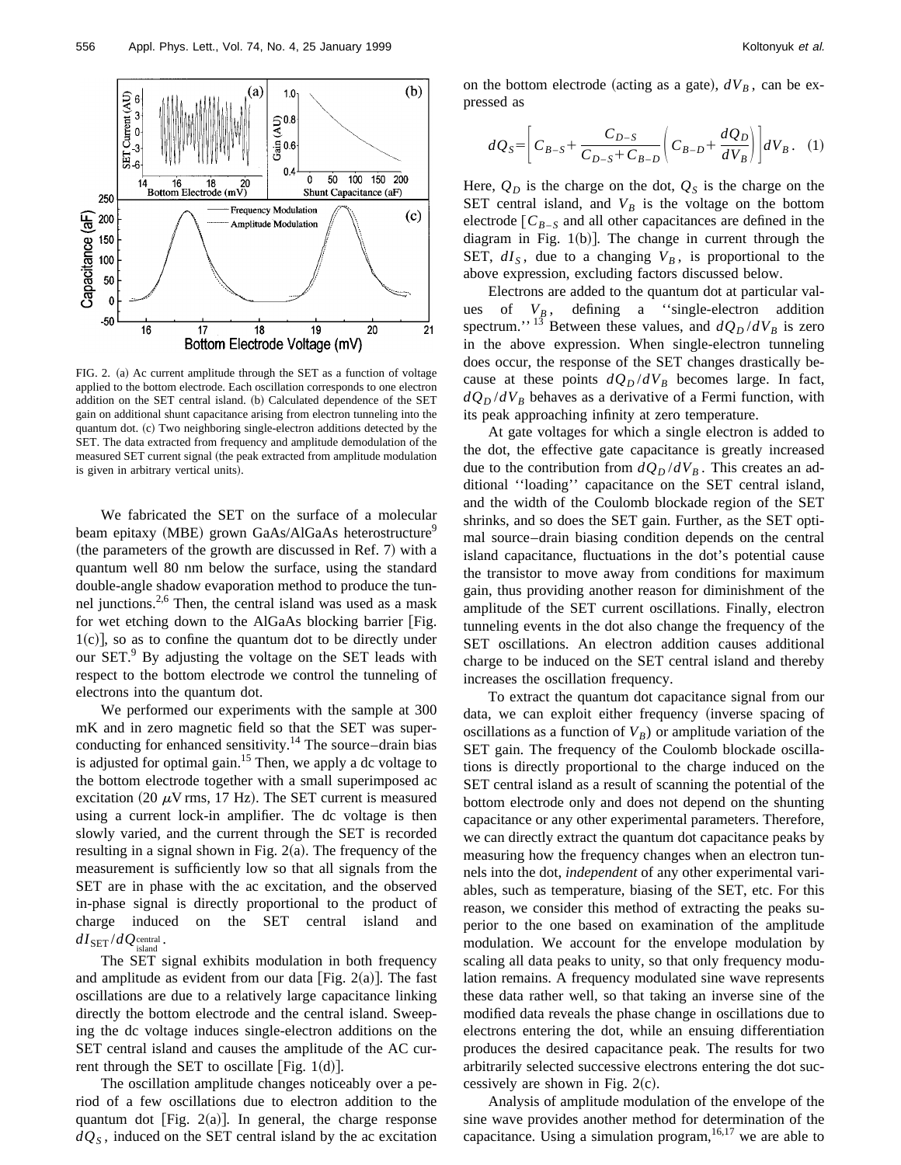

FIG. 2. (a) Ac current amplitude through the SET as a function of voltage applied to the bottom electrode. Each oscillation corresponds to one electron addition on the SET central island. (b) Calculated dependence of the SET gain on additional shunt capacitance arising from electron tunneling into the quantum dot. (c) Two neighboring single-electron additions detected by the SET. The data extracted from frequency and amplitude demodulation of the measured SET current signal (the peak extracted from amplitude modulation is given in arbitrary vertical units).

We fabricated the SET on the surface of a molecular beam epitaxy (MBE) grown GaAs/AlGaAs heterostructure<sup>9</sup> (the parameters of the growth are discussed in Ref. 7) with a quantum well 80 nm below the surface, using the standard double-angle shadow evaporation method to produce the tunnel junctions.<sup>2,6</sup> Then, the central island was used as a mask for wet etching down to the AlGaAs blocking barrier [Fig.  $1(c)$ , so as to confine the quantum dot to be directly under our SET.<sup>9</sup> By adjusting the voltage on the SET leads with respect to the bottom electrode we control the tunneling of electrons into the quantum dot.

We performed our experiments with the sample at 300 mK and in zero magnetic field so that the SET was superconducting for enhanced sensitivity.<sup>14</sup> The source–drain bias is adjusted for optimal gain.<sup>15</sup> Then, we apply a dc voltage to the bottom electrode together with a small superimposed ac excitation (20  $\mu$ V rms, 17 Hz). The SET current is measured using a current lock-in amplifier. The dc voltage is then slowly varied, and the current through the SET is recorded resulting in a signal shown in Fig.  $2(a)$ . The frequency of the measurement is sufficiently low so that all signals from the SET are in phase with the ac excitation, and the observed in-phase signal is directly proportional to the product of charge induced on the SET central island and  $dI_{\rm SET} / dQ_{\rm island}^{\rm central}$  .

The SET signal exhibits modulation in both frequency and amplitude as evident from our data [Fig. 2(a)]. The fast oscillations are due to a relatively large capacitance linking directly the bottom electrode and the central island. Sweeping the dc voltage induces single-electron additions on the SET central island and causes the amplitude of the AC current through the SET to oscillate [Fig.  $1(d)$ ].

The oscillation amplitude changes noticeably over a period of a few oscillations due to electron addition to the quantum dot [Fig.  $2(a)$ ]. In general, the charge response  $dQ<sub>S</sub>$ , induced on the SET central island by the ac excitation on the bottom electrode (acting as a gate),  $dV_B$ , can be expressed as

$$
dQ_S = \left[ C_{B-S} + \frac{C_{D-S}}{C_{D-S} + C_{B-D}} \left( C_{B-D} + \frac{dQ_D}{dV_B} \right) \right] dV_B. \quad (1)
$$

Here,  $Q_D$  is the charge on the dot,  $Q_S$  is the charge on the SET central island, and  $V_B$  is the voltage on the bottom electrode  $\begin{bmatrix} C_{B-S} \end{bmatrix}$  and all other capacitances are defined in the diagram in Fig.  $1(b)$ ]. The change in current through the SET,  $dI<sub>S</sub>$ , due to a changing  $V<sub>B</sub>$ , is proportional to the above expression, excluding factors discussed below.

Electrons are added to the quantum dot at particular values of  $V_B$ , defining a "single-electron addition spectrum.''<sup>13</sup> Between these values, and  $dQ_D/dV_B$  is zero in the above expression. When single-electron tunneling does occur, the response of the SET changes drastically because at these points  $dQ_D/dV_B$  becomes large. In fact,  $dQ_D/dV_B$  behaves as a derivative of a Fermi function, with its peak approaching infinity at zero temperature.

At gate voltages for which a single electron is added to the dot, the effective gate capacitance is greatly increased due to the contribution from  $dQ_D/dV_B$ . This creates an additional ''loading'' capacitance on the SET central island, and the width of the Coulomb blockade region of the SET shrinks, and so does the SET gain. Further, as the SET optimal source–drain biasing condition depends on the central island capacitance, fluctuations in the dot's potential cause the transistor to move away from conditions for maximum gain, thus providing another reason for diminishment of the amplitude of the SET current oscillations. Finally, electron tunneling events in the dot also change the frequency of the SET oscillations. An electron addition causes additional charge to be induced on the SET central island and thereby increases the oscillation frequency.

To extract the quantum dot capacitance signal from our data, we can exploit either frequency (inverse spacing of oscillations as a function of  $V_B$ ) or amplitude variation of the SET gain. The frequency of the Coulomb blockade oscillations is directly proportional to the charge induced on the SET central island as a result of scanning the potential of the bottom electrode only and does not depend on the shunting capacitance or any other experimental parameters. Therefore, we can directly extract the quantum dot capacitance peaks by measuring how the frequency changes when an electron tunnels into the dot, *independent* of any other experimental variables, such as temperature, biasing of the SET, etc. For this reason, we consider this method of extracting the peaks superior to the one based on examination of the amplitude modulation. We account for the envelope modulation by scaling all data peaks to unity, so that only frequency modulation remains. A frequency modulated sine wave represents these data rather well, so that taking an inverse sine of the modified data reveals the phase change in oscillations due to electrons entering the dot, while an ensuing differentiation produces the desired capacitance peak. The results for two arbitrarily selected successive electrons entering the dot successively are shown in Fig.  $2(c)$ .

Analysis of amplitude modulation of the envelope of the sine wave provides another method for determination of the capacitance. Using a simulation program,  $16,17$  we are able to